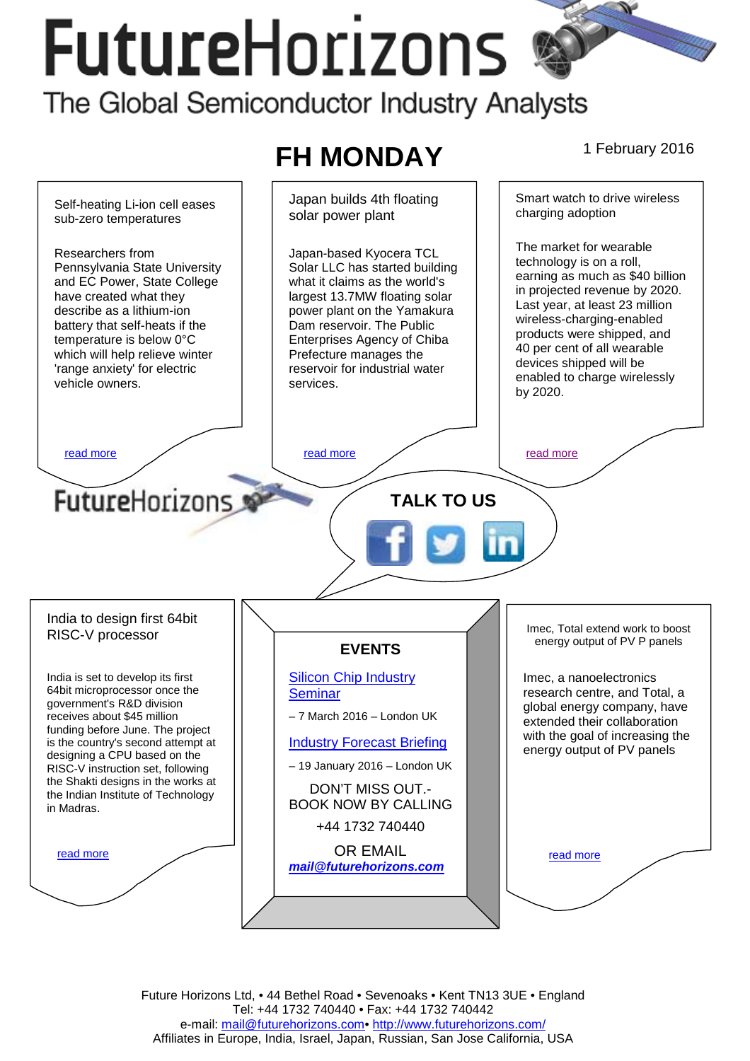# **FutureHorizons** The Global Semiconductor Industry Analysts

#### **FH MONDAY** 1 February 2016 Japan builds 4th floating Smart watch to drive wireless Self-heating Li-ion cell eases charging adoption solar power plant sub-zero temperatures The market for wearable Researchers from Japan-based Kyocera TCL technology is on a roll, Solar LLC has started building Pennsylvania State University earning as much as \$40 billion and EC Power, State College what it claims as the world's in projected revenue by 2020. have created what they largest 13.7MW floating solar Last year, at least 23 million describe as a lithium-ion power plant on the Yamakura wireless-charging-enabled battery that self-heats if the Dam reservoir. The Public products were shipped, and temperature is below 0°C Enterprises Agency of Chiba 40 per cent of all wearable which will help relieve winter Prefecture manages the devices shipped will be 'range anxiety' for electric reservoir for industrial water enabled to charge wirelessly vehicle owners. services. by 2020. [read more](#page-1-0) that the second version of the read more that the read more in the read more FutureHorizons **TALK TO US**  India to design first 64bit Imec, Total extend work to boost RISC-V processor energy output of PV P panels **EVENTS**  [Silicon Chip Industry](http://www.futurehorizons.com/page/12/silicon-chip-training)  India is set to develop its first Imec, a nanoelectronics 64bit microprocessor once the [Seminar](http://www.futurehorizons.com/page/12/silicon-chip-training)  research centre, and Total, a government's R&D division global energy company, have – 7 March 2016 – London UK receives about \$45 million extended their collaboration funding before June. The project with the goal of increasing the is the country's second attempt at [Industry Forecast Briefing](http://www.futurehorizons.com/page/13/Semiconductor-Market-Forecast-Seminar) energy output of PV panels designing a CPU based on the – 19 January 2016 – London UK RISC-V instruction set, following the Shakti designs in the works at DON'T MISS OUT. the Indian Institute of Technology BOOK NOW BY CALLING in Madras. +44 1732 740440 OR EMAIL read more read more *[mail@futurehorizons.com](mailto:mail@futurehorizons.com)*

Future Horizons Ltd, • 44 Bethel Road • Sevenoaks • Kent TN13 3UE • England Tel: +44 1732 740440 • Fax: +44 1732 740442 e-mail: mail@futurehorizons.com• http://www.futurehorizons.com/ Affiliates in Europe, India, Israel, Japan, Russian, San Jose California, USA